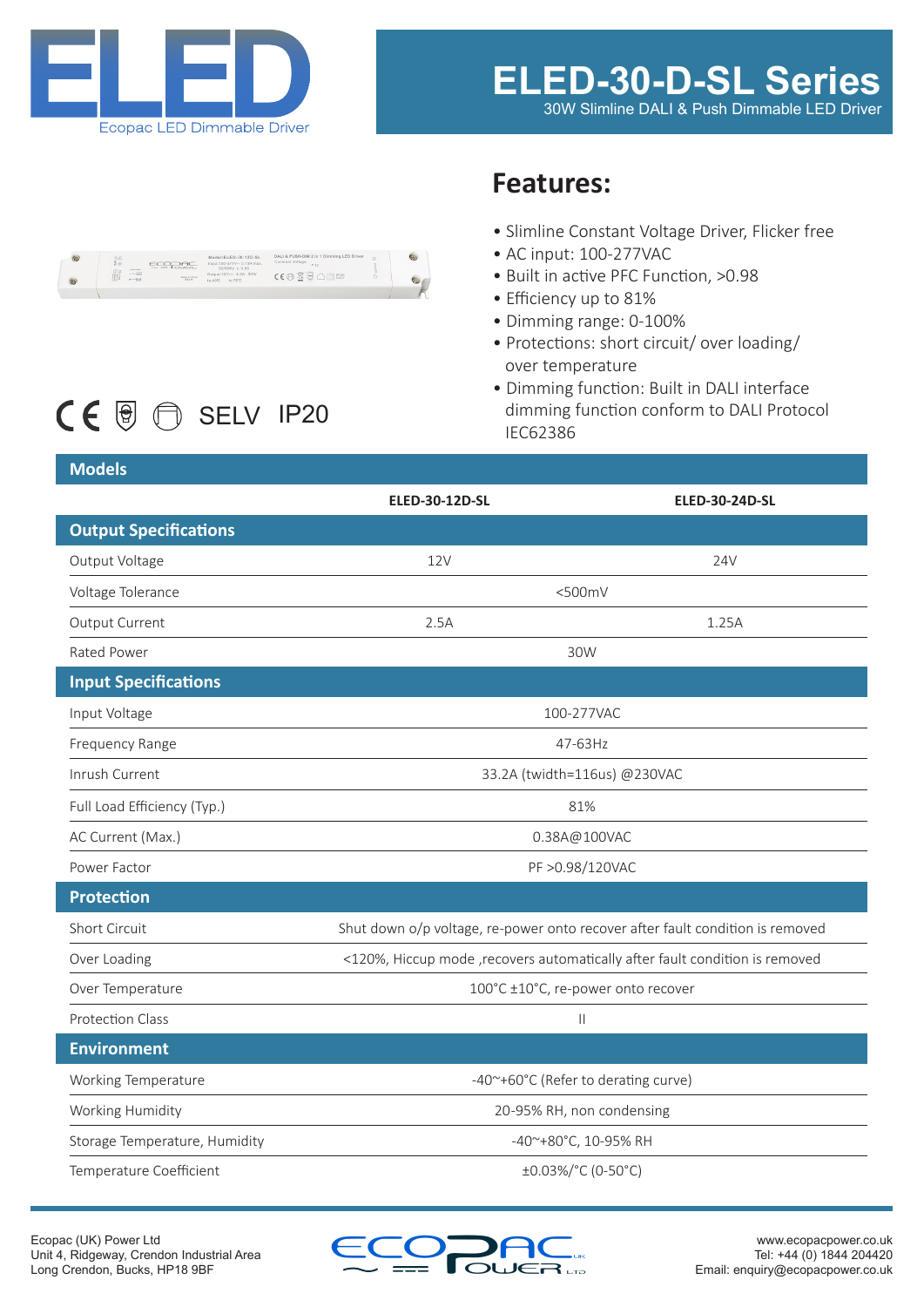

 $CE \n$  **B**  $\bigcirc$  SELV IP20

#### $ECORC$

# **Features:**

- Slimline Constant Voltage Driver, Flicker free
- AC input: 100-277VAC
- Built in active PFC Function, >0.98
- Efficiency up to 81%
- Dimming range: 0-100%
- Protections: short circuit/ over loading/ over temperature
- Dimming function: Built in DALI interface dimming function conform to DALI Protocol IEC62386

### **Models**

|                               | <b>ELED-30-12D-SL</b>                                                         | <b>ELED-30-24D-SL</b> |
|-------------------------------|-------------------------------------------------------------------------------|-----------------------|
| <b>Output Specifications</b>  |                                                                               |                       |
| Output Voltage                | <b>12V</b>                                                                    | 24V                   |
| Voltage Tolerance             | $<$ 500mV                                                                     |                       |
| Output Current                | 2.5A                                                                          | 1.25A                 |
| Rated Power                   | 30W                                                                           |                       |
| <b>Input Specifications</b>   |                                                                               |                       |
| Input Voltage                 | 100-277VAC                                                                    |                       |
| <b>Frequency Range</b>        | 47-63Hz                                                                       |                       |
| Inrush Current                | 33.2A (twidth=116us) @230VAC                                                  |                       |
| Full Load Efficiency (Typ.)   | 81%                                                                           |                       |
| AC Current (Max.)             | 0.38A@100VAC                                                                  |                       |
| Power Factor                  | PF > 0.98/120VAC                                                              |                       |
| <b>Protection</b>             |                                                                               |                       |
| <b>Short Circuit</b>          | Shut down o/p voltage, re-power onto recover after fault condition is removed |                       |
| Over Loading                  | <120%, Hiccup mode , recovers automatically after fault condition is removed  |                       |
| Over Temperature              | 100°C ±10°C, re-power onto recover                                            |                       |
| <b>Protection Class</b>       | $\mathbf{  }$                                                                 |                       |
| <b>Environment</b>            |                                                                               |                       |
| Working Temperature           | -40~+60°C (Refer to derating curve)                                           |                       |
| Working Humidity              | 20-95% RH, non condensing                                                     |                       |
| Storage Temperature, Humidity | -40~+80°C, 10-95% RH                                                          |                       |
| Temperature Coefficient       | ±0.03%/°C (0-50°C)                                                            |                       |

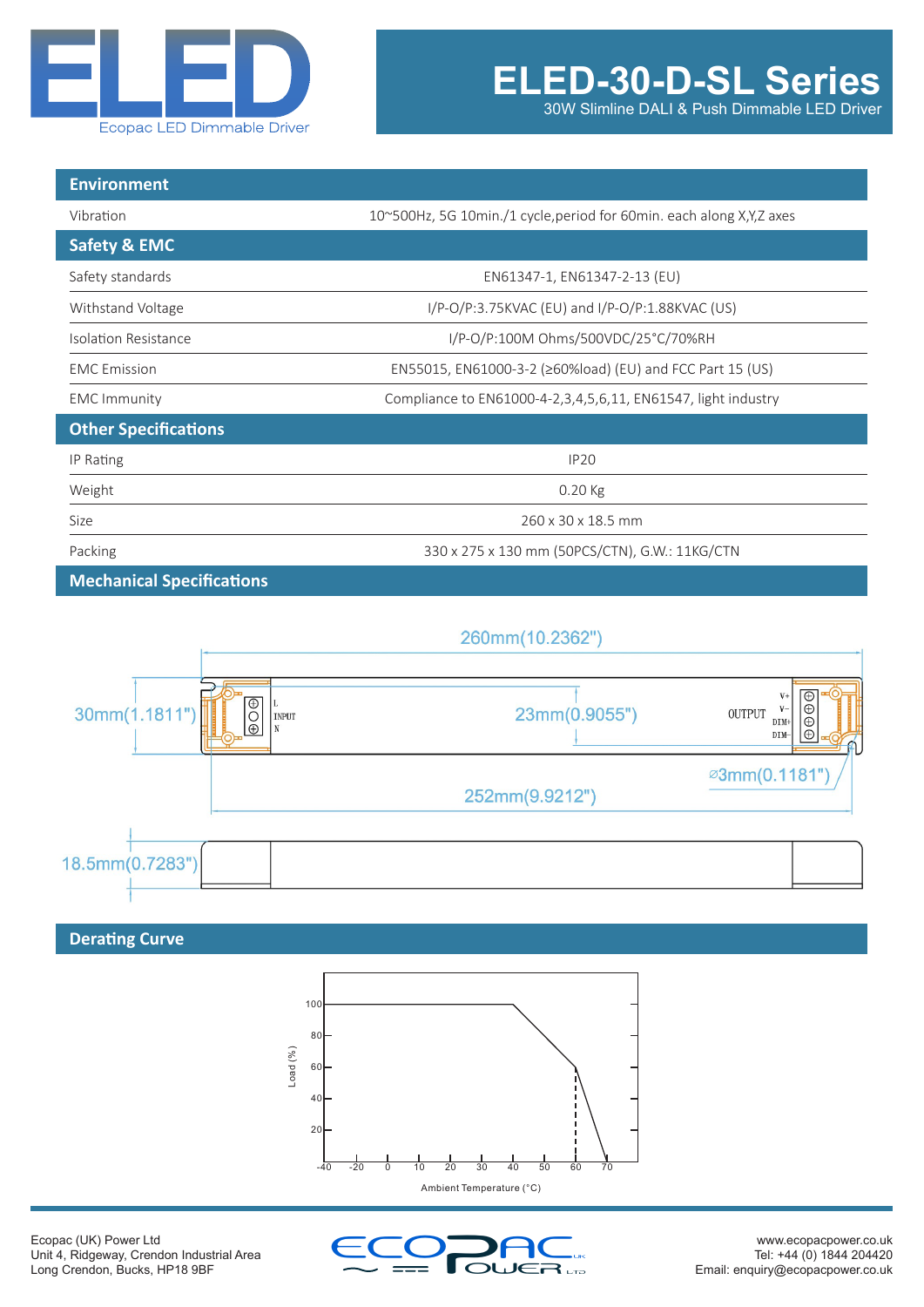

30W Slimline DALI & Push Dimmable LED Driver

| <b>Environment</b>               |                                                                        |  |
|----------------------------------|------------------------------------------------------------------------|--|
| Vibration                        | 10~500Hz, 5G 10min./1 cycle, period for 60min. each along X, Y, Z axes |  |
| <b>Safety &amp; EMC</b>          |                                                                        |  |
| Safety standards                 | EN61347-1, EN61347-2-13 (EU)                                           |  |
| Withstand Voltage                | I/P-O/P:3.75KVAC (EU) and I/P-O/P:1.88KVAC (US)                        |  |
| Isolation Resistance             | I/P-O/P:100M Ohms/500VDC/25°C/70%RH                                    |  |
| <b>EMC</b> Emission              | EN55015, EN61000-3-2 (≥60%load) (EU) and FCC Part 15 (US)              |  |
| <b>EMC Immunity</b>              | Compliance to EN61000-4-2,3,4,5,6,11, EN61547, light industry          |  |
| <b>Other Specifications</b>      |                                                                        |  |
| IP Rating                        | <b>IP20</b>                                                            |  |
| Weight                           | 0.20 Kg                                                                |  |
| Size                             | 260 x 30 x 18.5 mm                                                     |  |
| Packing                          | 330 x 275 x 130 mm (50PCS/CTN), G.W.: 11KG/CTN                         |  |
| <b>Mechanical Specifications</b> |                                                                        |  |



## **Derating Curve**